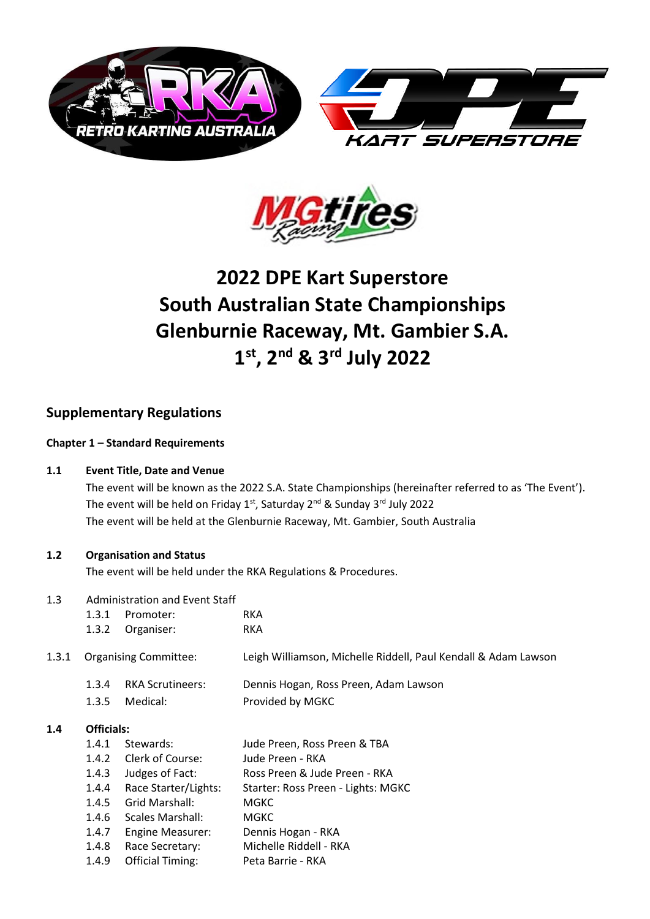



# **2022 DPE Kart Superstore South Australian State Championships Glenburnie Raceway, Mt. Gambier S.A. 1 st, 2nd & 3rd July 2022**

## **Supplementary Regulations**

#### **Chapter 1 – Standard Requirements**

#### **1.1 Event Title, Date and Venue**

The event will be known as the 2022 S.A. State Championships (hereinafter referred to as 'The Event'). The event will be held on Friday 1st, Saturday 2<sup>nd</sup> & Sunday 3<sup>rd</sup> July 2022 The event will be held at the Glenburnie Raceway, Mt. Gambier, South Australia

#### **1.2 Organisation and Status**

The event will be held under the RKA Regulations & Procedures.

#### 1.3 Administration and Event Staff

|       | 1.3.1          | Promoter:                           | <b>RKA</b>                                                     |
|-------|----------------|-------------------------------------|----------------------------------------------------------------|
|       | 1.3.2          | Organiser:                          | <b>RKA</b>                                                     |
| 1.3.1 |                | <b>Organising Committee:</b>        | Leigh Williamson, Michelle Riddell, Paul Kendall & Adam Lawson |
|       | 1.3.4<br>1.3.5 | <b>RKA Scrutineers:</b><br>Medical: | Dennis Hogan, Ross Preen, Adam Lawson<br>Provided by MGKC      |
|       |                |                                     |                                                                |

#### **1.4 Officials:**

| 1.4.1 | Stewards:               | Jude Preen, Ross Preen & TBA       |
|-------|-------------------------|------------------------------------|
| 1.4.2 | Clerk of Course:        | Jude Preen - RKA                   |
| 1.4.3 | Judges of Fact:         | Ross Preen & Jude Preen - RKA      |
| 1.4.4 | Race Starter/Lights:    | Starter: Ross Preen - Lights: MGKC |
| 1.4.5 | Grid Marshall:          | MGKC                               |
| 1.4.6 | <b>Scales Marshall:</b> | <b>MGKC</b>                        |
| 1.4.7 | <b>Engine Measurer:</b> | Dennis Hogan - RKA                 |
| 1.4.8 | Race Secretary:         | Michelle Riddell - RKA             |
| 1.4.9 | <b>Official Timing:</b> | Peta Barrie - RKA                  |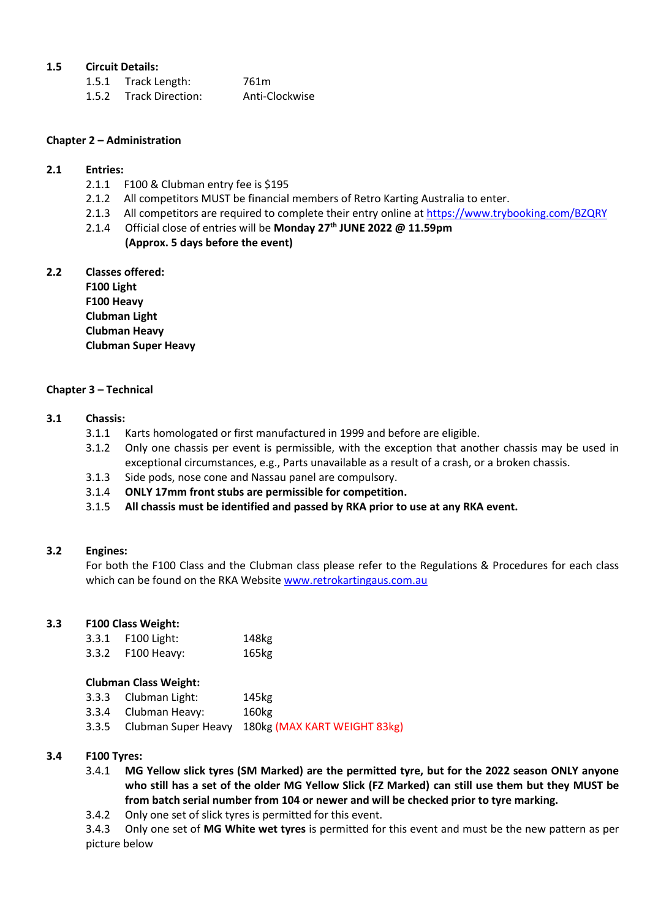#### **1.5 Circuit Details:**

| 1.5.1 Track Length:    | 761m           |
|------------------------|----------------|
| 1.5.2 Track Direction: | Anti-Clockwise |

#### **Chapter 2 – Administration**

#### **2.1 Entries:**

- 2.1.1 F100 & Clubman entry fee is \$195
- 2.1.2 All competitors MUST be financial members of Retro Karting Australia to enter.
- 2.1.3 All competitors are required to complete their entry online a[t https://www.trybooking.com/BZQRY](https://www.trybooking.com/BZQRY)
- 2.1.4 Official close of entries will be **Monday 27th JUNE 2022 @ 11.59pm (Approx. 5 days before the event)**

## **2.2 Classes offered:**

**F100 Light F100 Heavy Clubman Light Clubman Heavy Clubman Super Heavy**

#### **Chapter 3 – Technical**

- **3.1 Chassis:**
	- 3.1.1 Karts homologated or first manufactured in 1999 and before are eligible.
	- 3.1.2 Only one chassis per event is permissible, with the exception that another chassis may be used in exceptional circumstances, e.g., Parts unavailable as a result of a crash, or a broken chassis.
	- 3.1.3 Side pods, nose cone and Nassau panel are compulsory.
	- 3.1.4 **ONLY 17mm front stubs are permissible for competition.**
	- 3.1.5 **All chassis must be identified and passed by RKA prior to use at any RKA event.**

#### **3.2 Engines:**

For both the F100 Class and the Clubman class please refer to the Regulations & Procedures for each class which can be found on the RKA Website [www.retrokartingaus.com.au](http://www.retrokartingaus.com.au/)

#### **3.3 F100 Class Weight:**

|       | 3.3.1 F100 Light: | 148kg |
|-------|-------------------|-------|
| 3.3.2 | F100 Heavy:       | 165kg |

#### **Clubman Class Weight:**

| 3.3.3 Clubman Light: | 145kg                                                  |
|----------------------|--------------------------------------------------------|
| 3.3.4 Clubman Heavy: | 160kg                                                  |
|                      | 3.3.5 Clubman Super Heavy 180kg (MAX KART WEIGHT 83kg) |

#### **3.4 F100 Tyres:**

- 3.4.1 **MG Yellow slick tyres (SM Marked) are the permitted tyre, but for the 2022 season ONLY anyone who still has a set of the older MG Yellow Slick (FZ Marked) can still use them but they MUST be from batch serial number from 104 or newer and will be checked prior to tyre marking.**
- 3.4.2 Only one set of slick tyres is permitted for this event.

3.4.3 Only one set of **MG White wet tyres** is permitted for this event and must be the new pattern as per picture below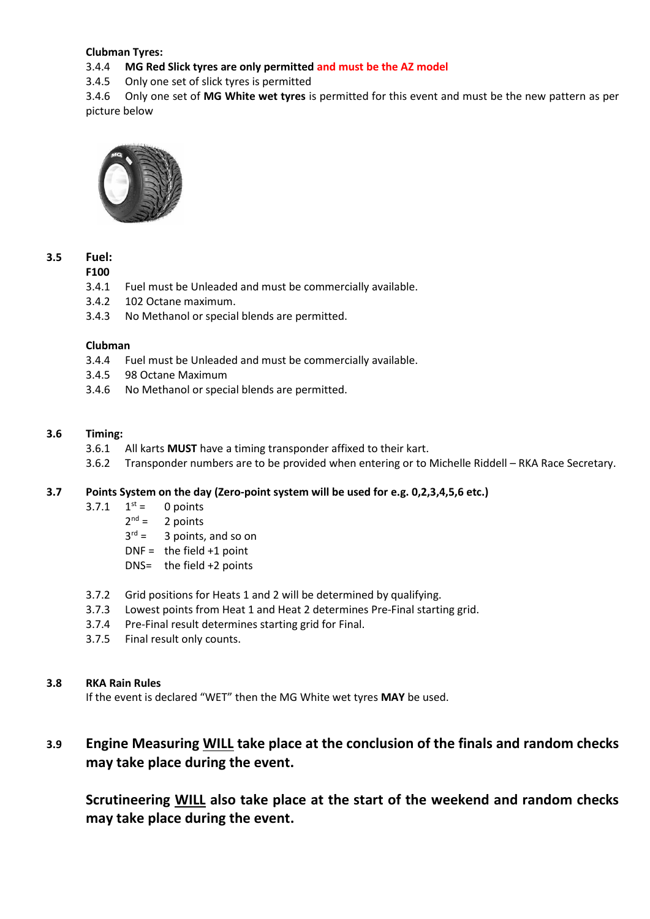#### **Clubman Tyres:**

#### 3.4.4 **MG Red Slick tyres are only permitted and must be the AZ model**

3.4.5 Only one set of slick tyres is permitted

3.4.6 Only one set of **MG White wet tyres** is permitted for this event and must be the new pattern as per picture below



#### **3.5 Fuel:**

#### **F100**

- 3.4.1 Fuel must be Unleaded and must be commercially available.
- 3.4.2 102 Octane maximum.
- 3.4.3 No Methanol or special blends are permitted.

#### **Clubman**

- 3.4.4 Fuel must be Unleaded and must be commercially available.
- 3.4.5 98 Octane Maximum
- 3.4.6 No Methanol or special blends are permitted.

#### **3.6 Timing:**

- 3.6.1 All karts **MUST** have a timing transponder affixed to their kart.
- 3.6.2 Transponder numbers are to be provided when entering or to Michelle Riddell RKA Race Secretary.

#### **3.7 Points System on the day (Zero-point system will be used for e.g. 0,2,3,4,5,6 etc.)**

- $3.7.1 \quad 1^{st} =$ 0 points
	- $2^{nd} =$ 2 points
	- $3^{rd}$  = 3 points, and so on
	- $DNF =$  the field +1 point
	- DNS= the field +2 points
- 3.7.2 Grid positions for Heats 1 and 2 will be determined by qualifying.
- 3.7.3 Lowest points from Heat 1 and Heat 2 determines Pre-Final starting grid.
- 3.7.4 Pre-Final result determines starting grid for Final.
- 3.7.5 Final result only counts.

#### **3.8 RKA Rain Rules**

If the event is declared "WET" then the MG White wet tyres **MAY** be used.

## **3.9 Engine Measuring WILL take place at the conclusion of the finals and random checks may take place during the event.**

**Scrutineering WILL also take place at the start of the weekend and random checks may take place during the event.**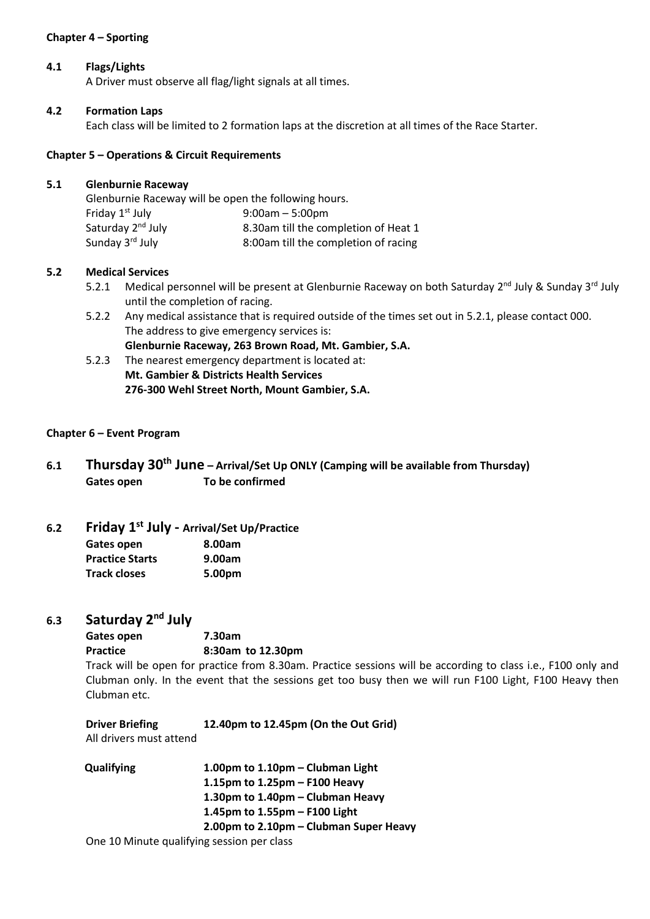#### **Chapter 4 – Sporting**

#### **4.1 Flags/Lights**

A Driver must observe all flag/light signals at all times.

#### **4.2 Formation Laps**

 $5.1$ 

Each class will be limited to 2 formation laps at the discretion at all times of the Race Starter.

#### **Chapter 5 – Operations & Circuit Requirements**

| <b>Glenburnie Raceway</b>                            |                                      |
|------------------------------------------------------|--------------------------------------|
| Glenburnie Raceway will be open the following hours. |                                      |
| Friday 1 <sup>st</sup> July                          | $9:00am - 5:00pm$                    |
| Saturday 2 <sup>nd</sup> July                        | 8.30am till the completion of Heat 1 |
| Sunday 3rd July                                      | 8:00am till the completion of racing |
|                                                      |                                      |

#### **5.2 Medical Services**

- 5.2.1 Medical personnel will be present at Glenburnie Raceway on both Saturday 2<sup>nd</sup> July & Sunday 3<sup>rd</sup> July until the completion of racing.
- 5.2.2 Any medical assistance that is required outside of the times set out in 5.2.1, please contact 000. The address to give emergency services is: **Glenburnie Raceway, 263 Brown Road, Mt. Gambier, S.A.**
- 5.2.3 The nearest emergency department is located at: **Mt. Gambier & Districts Health Services 276-300 Wehl Street North, Mount Gambier, S.A.**

#### **Chapter 6 – Event Program**

**6.1 Thursday 30th June – Arrival/Set Up ONLY (Camping will be available from Thursday) Gates open To be confirmed**

## **6.2 Friday 1 st July - Arrival/Set Up/Practice**

| Gates open             | 8.00am |
|------------------------|--------|
| <b>Practice Starts</b> | 9.00am |
| <b>Track closes</b>    | 5.00pm |

### **6.3 Saturday 2 nd July**

**Gates open 7.30am Practice 8:30am to 12.30pm**

Track will be open for practice from 8.30am. Practice sessions will be according to class i.e., F100 only and Clubman only. In the event that the sessions get too busy then we will run F100 Light, F100 Heavy then Clubman etc.

| <b>Driver Briefing</b>  | 12.40pm to 12.45pm (On the Out Grid) |
|-------------------------|--------------------------------------|
| All drivers must attend |                                      |

| <b>Qualifying</b> | 1.00pm to $1.10$ pm – Clubman Light        |
|-------------------|--------------------------------------------|
|                   | 1.15pm to $1.25$ pm – F100 Heavy           |
|                   | 1.30pm to $1.40$ pm – Clubman Heavy        |
|                   | 1.45pm to 1.55pm - F100 Light              |
|                   | 2.00pm to 2.10pm – Clubman Super Heavy     |
|                   | One 10 Minute qualifying session per class |

One 10 Minute qualifying session per class